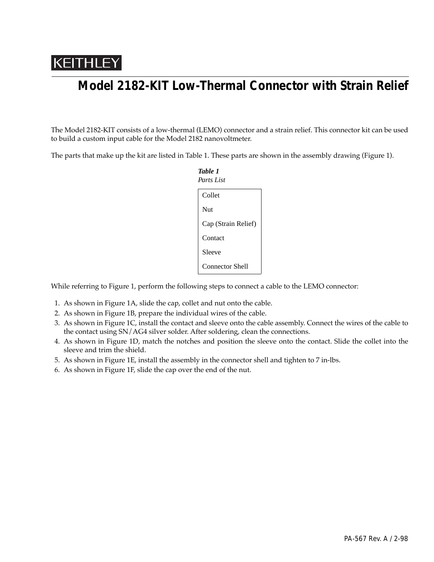## KEITHLEY

## **Model 2182-KIT Low-Thermal Connector with Strain Relief**

The Model 2182-KIT consists of a low-thermal (LEMO) connector and a strain relief. This connector kit can be used to build a custom input cable for the Model 2182 nanovoltmeter.

The parts that make up the kit are listed in Table 1. These parts are shown in the assembly drawing (Figure 1).

| Table 1<br>Parts List  |
|------------------------|
| Collet                 |
| Nut                    |
| Cap (Strain Relief)    |
| Contact                |
| Sleeve                 |
| <b>Connector Shell</b> |

While referring to Figure 1, perform the following steps to connect a cable to the LEMO connector:

- 1. As shown in Figure 1A, slide the cap, collet and nut onto the cable.
- 2. As shown in Figure 1B, prepare the individual wires of the cable.
- 3. As shown in Figure 1C, install the contact and sleeve onto the cable assembly. Connect the wires of the cable to the contact using SN/AG4 silver solder. After soldering, clean the connections.
- 4. As shown in Figure 1D, match the notches and position the sleeve onto the contact. Slide the collet into the sleeve and trim the shield.
- 5. As shown in Figure 1E, install the assembly in the connector shell and tighten to 7 in-lbs.
- 6. As shown in Figure 1F, slide the cap over the end of the nut.